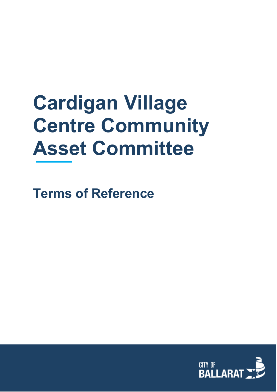# **Cardigan Village Centre Community Asset Committee**

**Terms of Reference**

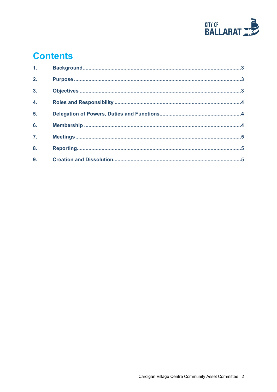

# **Contents**

| 1 <sub>1</sub>   |  |
|------------------|--|
| 2.               |  |
| $\overline{3}$ . |  |
| $\overline{4}$ . |  |
| 5.               |  |
| 6.               |  |
| $\overline{7}$ . |  |
| 8.               |  |
| 9.               |  |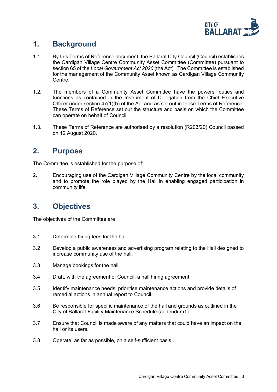

#### <span id="page-2-0"></span>**1. Background**

- 1.1. By this Terms of Reference document, the Ballarat City Council (Council) establishes the Cardigan Village Centre Community Asset Committee (Committee) pursuant to section 65 of the *Local Government Act 2020* (the Act). The Committee is established for the management of the Community Asset known as Cardigan Village Community Centre.
- 1.2. The members of a Community Asset Committee have the powers, duties and functions as contained in the Instrument of Delegation from the Chief Executive Officer under section 47(1)(b) of the Act and as set out in these Terms of Reference. These Terms of Reference set out the structure and basis on which the Committee can operate on behalf of Council.
- 1.3. These Terms of Reference are authorised by a resolution (R203/20) Council passed on 12 August 2020.

#### <span id="page-2-1"></span>**2. Purpose**

The Committee is established for the purpose of:

2.1 Encouraging use of the Cardigan Village Community Centre by the local community and to promote the role played by the Hall in enabling engaged participation in community life

# <span id="page-2-2"></span>**3. Objectives**

The objectives of the Committee are:

- 3.1 Determine hiring fees for the hall
- 3.2 Develop a public awareness and advertising program relating to the Hall designed to increase community use of the hall.
- 3.3 Manage bookings for the hall.
- 3.4 Draft, with the agreement of Council, a hall hiring agreement.
- 3.5 Identify maintenance needs, prioritise maintenance actions and provide details of remedial actions in annual report to Council.
- 3.6 Be responsible for specific maintenance of the hall and grounds as outlined in the City of Ballarat Facility Maintenance Schedule (addendum1).
- 3.7 Ensure that Council is made aware of any matters that could have an impact on the hall or its users.
- 3.8 Operate, as far as possible, on a self-sufficient basis..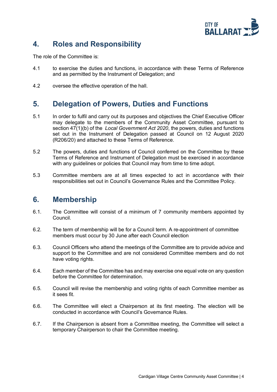

## <span id="page-3-0"></span>**4. Roles and Responsibility**

The role of the Committee is:

- 4.1 to exercise the duties and functions, in accordance with these Terms of Reference and as permitted by the Instrument of Delegation; and
- 4.2 oversee the effective operation of the hall.

#### <span id="page-3-1"></span>**5. Delegation of Powers, Duties and Functions**

- 5.1 In order to fulfil and carry out its purposes and objectives the Chief Executive Officer may delegate to the members of the Community Asset Committee, pursuant to section 47(1)(b) of the *Local Government Act 2020*, the powers, duties and functions set out in the Instrument of Delegation passed at Council on 12 August 2020 (R206/20) and attached to these Terms of Reference.
- 5.2 The powers, duties and functions of Council conferred on the Committee by these Terms of Reference and Instrument of Delegation must be exercised in accordance with any quidelines or policies that Council may from time to time adopt.
- 5.3 Committee members are at all times expected to act in accordance with their responsibilities set out in Council's Governance Rules and the Committee Policy.

#### <span id="page-3-2"></span>**6. Membership**

- 6.1. The Committee will consist of a minimum of 7 community members appointed by Council.
- 6.2. The term of membership will be for a Council term. A re-appointment of committee members must occur by 30 June after each Council election
- 6.3. Council Officers who attend the meetings of the Committee are to provide advice and support to the Committee and are not considered Committee members and do not have voting rights.
- 6.4. Each member of the Committee has and may exercise one equal vote on any question before the Committee for determination.
- 6.5. Council will revise the membership and voting rights of each Committee member as it sees fit.
- 6.6. The Committee will elect a Chairperson at its first meeting. The election will be conducted in accordance with Council's Governance Rules.
- 6.7. If the Chairperson is absent from a Committee meeting, the Committee will select a temporary Chairperson to chair the Committee meeting.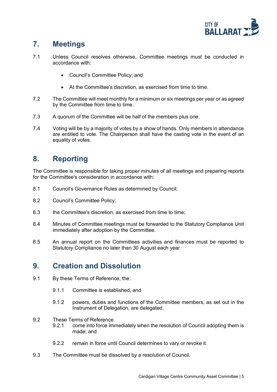

## <span id="page-4-0"></span>**7. Meetings**

- 7.1 Unless Council resolves otherwise, Committee meetings must be conducted in accordance with:
	- Council's Committee Policy; and
	- At the Committee's discretion, as exercised from time to time.
- 7.2 The Committee will meet monthly for a minimum or six meetings per year or as agreed by the Committee from time to time.
- 7.3 A quorum of the Committee will be half of the members plus one.
- 7.4 Voting will be by a majority of votes by a show of hands. Only members in attendance are entitled to vote. The Chairperson shall have the casting vote in the event of an equality of votes.

## <span id="page-4-1"></span>**8. Reporting**

The Committee is responsible for taking proper minutes of all meetings and preparing reports for the Committee's consideration in accordance with:

- 8.1 Council's Governance Rules as determined by Council;
- 8.2 Council's Committee Policy;
- 8.3 the Committee's discretion, as exercised from time to time;
- 8.4 Minutes of Committee meetings must be forwarded to the Statutory Compliance Unit immediately after adoption by the Committee.
- 8.5 An annual report on the Committees activities and finances must be reported to Statutory Compliance no later than 30 August each year

#### <span id="page-4-2"></span>**9. Creation and Dissolution**

- 9.1 By these Terms of Reference, the:
	- 9.1.1 Committee is established; and
	- 9.1.2 powers, duties and functions of the Committee members, as set out in the Instrument of Delegation, are delegated.
- 9.2 These Terms of Reference
	- 9.2.1 come into force immediately when the resolution of Council adopting them is made; and
	- 9.2.2 remain in force until Council determines to vary or revoke it.
- 9.3 The Committee must be dissolved by a resolution of Council.